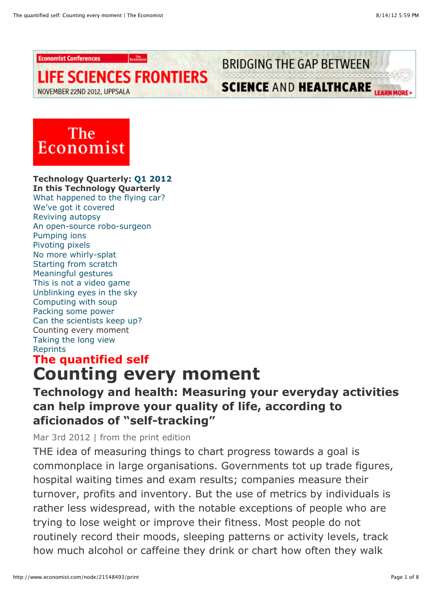**Economist Conferences** 

**LIFE SCIENCES FRONTIERS** NOVEMBER 22ND 2012, UPPSALA

**BRIDGING THE GAP BETWEEN SCIENCE AND HEALTHCARE LEARN MO** 



**Technology Quarterly: [Q1 2012](http://www.economist.com/technology-quarterly/2012-03-03) In this Technology Quarterly** [What happened to the flying car?](http://www.economist.com/node/21548491) [We've got it covered](http://www.economist.com/node/21548497) [Reviving autopsy](http://www.economist.com/node/21548481) [An open-source robo-surgeon](http://www.economist.com/node/21548489) [Pumping ions](http://www.economist.com/node/21548492) [Pivoting pixels](http://www.economist.com/node/21548483) [No more whirly-splat](http://www.economist.com/node/21548484) [Starting from scratch](http://www.economist.com/node/21548482) [Meaningful gestures](http://www.economist.com/node/21548486) [This is not a video game](http://www.economist.com/node/21548490) [Unblinking eyes in the sky](http://www.economist.com/node/21548485) [Computing with soup](http://www.economist.com/node/21548488) [Packing some power](http://www.economist.com/node/21548495) [Can the scientists keep up?](http://www.economist.com/node/21548498) Counting every moment [Taking the long view](http://www.economist.com/node/21548487) **[Reprints](http://www.economist.com/rights)** 

# **The quantified self Counting every moment**

## **Technology and health: Measuring your everyday activities can help improve your quality of life, according to aficionados of "self-tracking"**

Mar 3rd 2012 | from the print edition

THE idea of measuring things to chart progress towards a goal is commonplace in large organisations. Governments tot up trade figures, hospital waiting times and exam results; companies measure their turnover, profits and inventory. But the use of metrics by individuals is rather less widespread, with the notable exceptions of people who are trying to lose weight or improve their fitness. Most people do not routinely record their moods, sleeping patterns or activity levels, track how much alcohol or caffeine they drink or chart how often they walk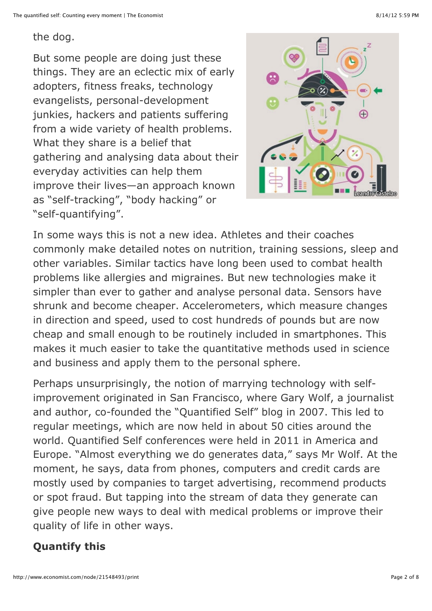#### the dog.

But some people are doing just these things. They are an eclectic mix of early adopters, fitness freaks, technology evangelists, personal-development junkies, hackers and patients suffering from a wide variety of health problems. What they share is a belief that gathering and analysing data about their everyday activities can help them improve their lives—an approach known as "self-tracking", "body hacking" or "self-quantifying".



In some ways this is not a new idea. Athletes and their coaches commonly make detailed notes on nutrition, training sessions, sleep and other variables. Similar tactics have long been used to combat health problems like allergies and migraines. But new technologies make it simpler than ever to gather and analyse personal data. Sensors have shrunk and become cheaper. Accelerometers, which measure changes in direction and speed, used to cost hundreds of pounds but are now cheap and small enough to be routinely included in smartphones. This makes it much easier to take the quantitative methods used in science and business and apply them to the personal sphere.

Perhaps unsurprisingly, the notion of marrying technology with selfimprovement originated in San Francisco, where Gary Wolf, a journalist and author, co-founded the "Quantified Self" blog in 2007. This led to regular meetings, which are now held in about 50 cities around the world. Quantified Self conferences were held in 2011 in America and Europe. "Almost everything we do generates data," says Mr Wolf. At the moment, he says, data from phones, computers and credit cards are mostly used by companies to target advertising, recommend products or spot fraud. But tapping into the stream of data they generate can give people new ways to deal with medical problems or improve their quality of life in other ways.

### **Quantify this**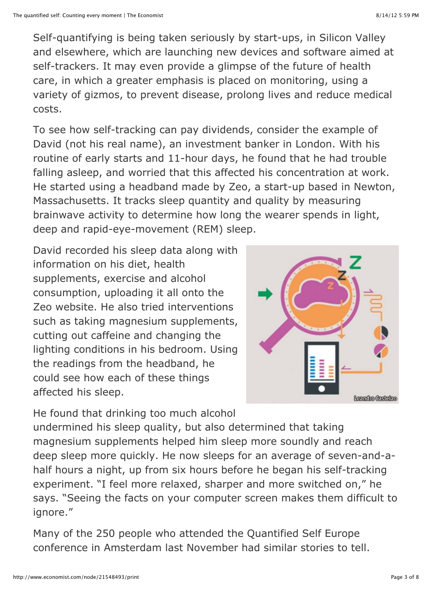Self-quantifying is being taken seriously by start-ups, in Silicon Valley and elsewhere, which are launching new devices and software aimed at self-trackers. It may even provide a glimpse of the future of health care, in which a greater emphasis is placed on monitoring, using a variety of gizmos, to prevent disease, prolong lives and reduce medical costs.

To see how self-tracking can pay dividends, consider the example of David (not his real name), an investment banker in London. With his routine of early starts and 11-hour days, he found that he had trouble falling asleep, and worried that this affected his concentration at work. He started using a headband made by Zeo, a start-up based in Newton, Massachusetts. It tracks sleep quantity and quality by measuring brainwave activity to determine how long the wearer spends in light, deep and rapid-eye-movement (REM) sleep.

David recorded his sleep data along with information on his diet, health supplements, exercise and alcohol consumption, uploading it all onto the Zeo website. He also tried interventions such as taking magnesium supplements, cutting out caffeine and changing the lighting conditions in his bedroom. Using the readings from the headband, he could see how each of these things affected his sleep.



He found that drinking too much alcohol

undermined his sleep quality, but also determined that taking magnesium supplements helped him sleep more soundly and reach deep sleep more quickly. He now sleeps for an average of seven-and-ahalf hours a night, up from six hours before he began his self-tracking experiment. "I feel more relaxed, sharper and more switched on," he says. "Seeing the facts on your computer screen makes them difficult to ignore."

Many of the 250 people who attended the Quantified Self Europe conference in Amsterdam last November had similar stories to tell.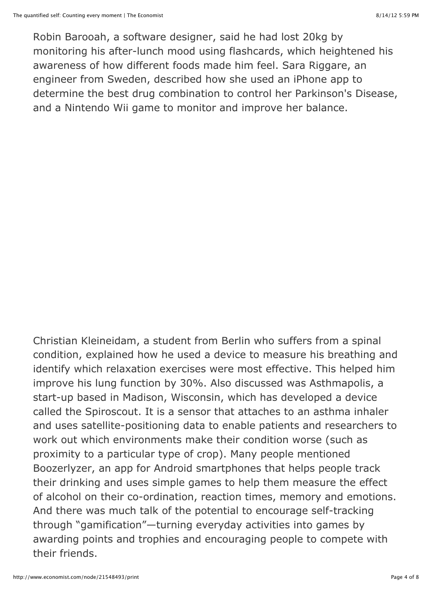Robin Barooah, a software designer, said he had lost 20kg by monitoring his after-lunch mood using flashcards, which heightened his awareness of how different foods made him feel. Sara Riggare, an engineer from Sweden, described how she used an iPhone app to determine the best drug combination to control her Parkinson's Disease, and a Nintendo Wii game to monitor and improve her balance.

Christian Kleineidam, a student from Berlin who suffers from a spinal condition, explained how he used a device to measure his breathing and identify which relaxation exercises were most effective. This helped him improve his lung function by 30%. Also discussed was Asthmapolis, a start-up based in Madison, Wisconsin, which has developed a device called the Spiroscout. It is a sensor that attaches to an asthma inhaler and uses satellite-positioning data to enable patients and researchers to work out which environments make their condition worse (such as proximity to a particular type of crop). Many people mentioned Boozerlyzer, an app for Android smartphones that helps people track their drinking and uses simple games to help them measure the effect of alcohol on their co-ordination, reaction times, memory and emotions. And there was much talk of the potential to encourage self-tracking through "gamification"—turning everyday activities into games by awarding points and trophies and encouraging people to compete with their friends.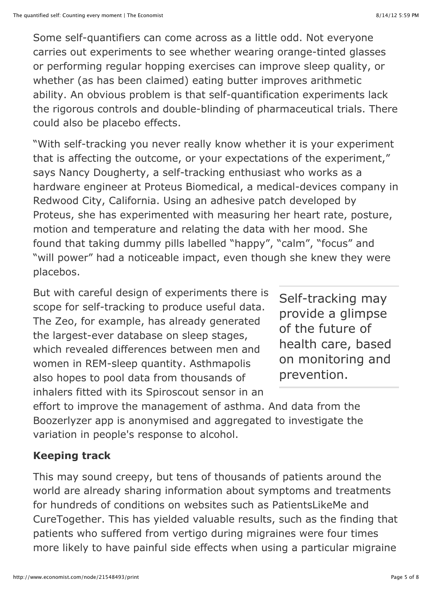Some self-quantifiers can come across as a little odd. Not everyone carries out experiments to see whether wearing orange-tinted glasses or performing regular hopping exercises can improve sleep quality, or whether (as has been claimed) eating butter improves arithmetic ability. An obvious problem is that self-quantification experiments lack the rigorous controls and double-blinding of pharmaceutical trials. There could also be placebo effects.

"With self-tracking you never really know whether it is your experiment that is affecting the outcome, or your expectations of the experiment," says Nancy Dougherty, a self-tracking enthusiast who works as a hardware engineer at Proteus Biomedical, a medical-devices company in Redwood City, California. Using an adhesive patch developed by Proteus, she has experimented with measuring her heart rate, posture, motion and temperature and relating the data with her mood. She found that taking dummy pills labelled "happy", "calm", "focus" and "will power" had a noticeable impact, even though she knew they were placebos.

But with careful design of experiments there is scope for self-tracking to produce useful data. The Zeo, for example, has already generated the largest-ever database on sleep stages, which revealed differences between men and women in REM-sleep quantity. Asthmapolis also hopes to pool data from thousands of inhalers fitted with its Spiroscout sensor in an

Self-tracking may provide a glimpse of the future of health care, based on monitoring and prevention.

effort to improve the management of asthma. And data from the Boozerlyzer app is anonymised and aggregated to investigate the variation in people's response to alcohol.

#### **Keeping track**

This may sound creepy, but tens of thousands of patients around the world are already sharing information about symptoms and treatments for hundreds of conditions on websites such as PatientsLikeMe and CureTogether. This has yielded valuable results, such as the finding that patients who suffered from vertigo during migraines were four times more likely to have painful side effects when using a particular migraine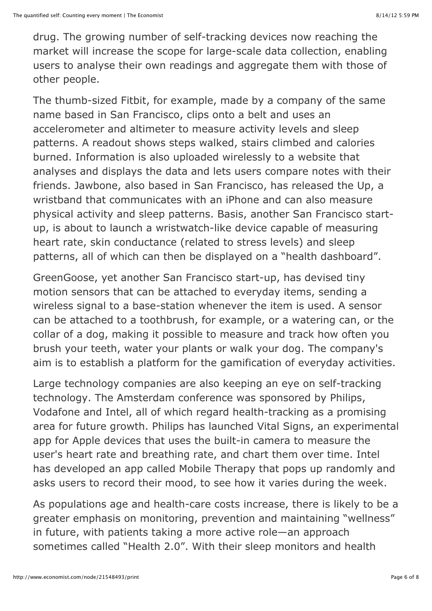drug. The growing number of self-tracking devices now reaching the market will increase the scope for large-scale data collection, enabling users to analyse their own readings and aggregate them with those of other people.

The thumb-sized Fitbit, for example, made by a company of the same name based in San Francisco, clips onto a belt and uses an accelerometer and altimeter to measure activity levels and sleep patterns. A readout shows steps walked, stairs climbed and calories burned. Information is also uploaded wirelessly to a website that analyses and displays the data and lets users compare notes with their friends. Jawbone, also based in San Francisco, has released the Up, a wristband that communicates with an iPhone and can also measure physical activity and sleep patterns. Basis, another San Francisco startup, is about to launch a wristwatch-like device capable of measuring heart rate, skin conductance (related to stress levels) and sleep patterns, all of which can then be displayed on a "health dashboard".

GreenGoose, yet another San Francisco start-up, has devised tiny motion sensors that can be attached to everyday items, sending a wireless signal to a base-station whenever the item is used. A sensor can be attached to a toothbrush, for example, or a watering can, or the collar of a dog, making it possible to measure and track how often you brush your teeth, water your plants or walk your dog. The company's aim is to establish a platform for the gamification of everyday activities.

Large technology companies are also keeping an eye on self-tracking technology. The Amsterdam conference was sponsored by Philips, Vodafone and Intel, all of which regard health-tracking as a promising area for future growth. Philips has launched Vital Signs, an experimental app for Apple devices that uses the built-in camera to measure the user's heart rate and breathing rate, and chart them over time. Intel has developed an app called Mobile Therapy that pops up randomly and asks users to record their mood, to see how it varies during the week.

As populations age and health-care costs increase, there is likely to be a greater emphasis on monitoring, prevention and maintaining "wellness" in future, with patients taking a more active role—an approach sometimes called "Health 2.0". With their sleep monitors and health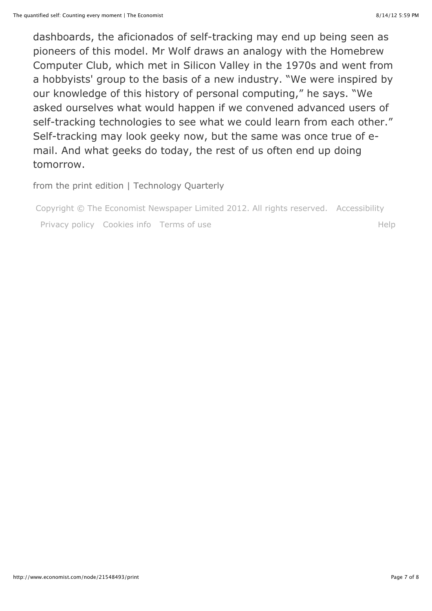dashboards, the aficionados of self-tracking may end up being seen as pioneers of this model. Mr Wolf draws an analogy with the Homebrew Computer Club, which met in Silicon Valley in the 1970s and went from a hobbyists' group to the basis of a new industry. "We were inspired by our knowledge of this history of personal computing," he says. "We asked ourselves what would happen if we convened advanced users of self-tracking technologies to see what we could learn from each other." Self-tracking may look geeky now, but the same was once true of email. And what geeks do today, the rest of us often end up doing tomorrow.

from the print edition | Technology Quarterly

Copyright © The Economist Newspaper Limited 2012. All rights reserved. [Accessibility](http://www.economist.com/help/accessibilitypolicy) [Privacy policy](http://www.economistgroup.com/results_and_governance/governance/privacy) [Cookies info](http://www.economist.com/cookies-info) [Terms of use](http://www.economist.com/legal/terms-of-use) Metal Assessment of the [Help](http://www.economist.com/help)